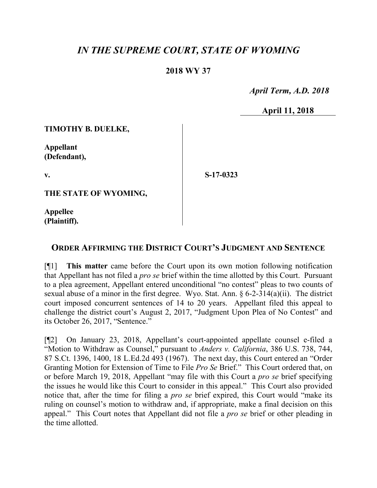## *IN THE SUPREME COURT, STATE OF WYOMING*

## **2018 WY 37**

 *April Term, A.D. 2018*

**April 11, 2018**

**TIMOTHY B. DUELKE,**

**Appellant (Defendant),**

**v.**

**S-17-0323**

**THE STATE OF WYOMING,**

**Appellee (Plaintiff).**

## **ORDER AFFIRMING THE DISTRICT COURT'S JUDGMENT AND SENTENCE**

[¶1] **This matter** came before the Court upon its own motion following notification that Appellant has not filed a *pro se* brief within the time allotted by this Court. Pursuant to a plea agreement, Appellant entered unconditional "no contest" pleas to two counts of sexual abuse of a minor in the first degree. Wyo. Stat. Ann. § 6-2-314(a)(ii). The district court imposed concurrent sentences of 14 to 20 years. Appellant filed this appeal to challenge the district court's August 2, 2017, "Judgment Upon Plea of No Contest" and its October 26, 2017, "Sentence."

[¶2] On January 23, 2018, Appellant's court-appointed appellate counsel e-filed a "Motion to Withdraw as Counsel," pursuant to *Anders v. California*, 386 U.S. 738, 744, 87 S.Ct. 1396, 1400, 18 L.Ed.2d 493 (1967). The next day, this Court entered an "Order Granting Motion for Extension of Time to File *Pro Se* Brief." This Court ordered that, on or before March 19, 2018, Appellant "may file with this Court a *pro se* brief specifying the issues he would like this Court to consider in this appeal." This Court also provided notice that, after the time for filing a *pro se* brief expired, this Court would "make its ruling on counsel's motion to withdraw and, if appropriate, make a final decision on this appeal." This Court notes that Appellant did not file a *pro se* brief or other pleading in the time allotted.